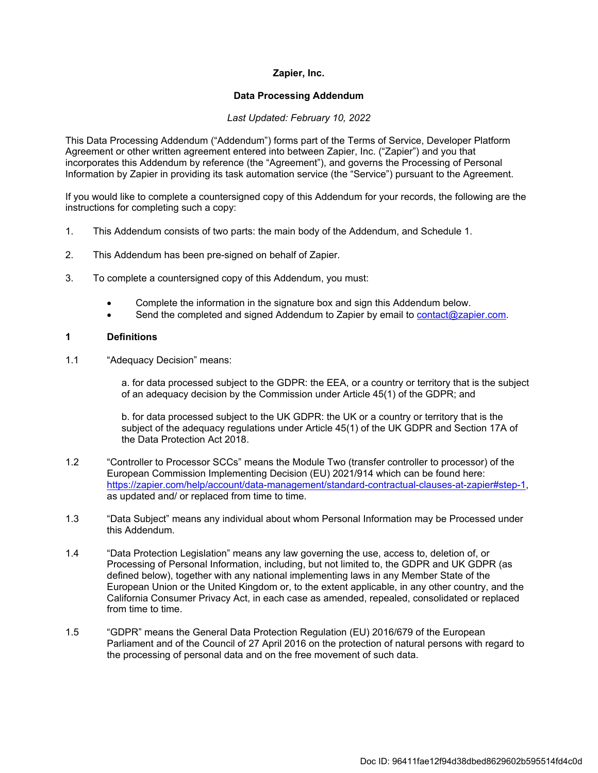## **Zapier, Inc.**

#### **Data Processing Addendum**

#### *Last Updated: February 10, 2022*

This Data Processing Addendum ("Addendum") forms part of the Terms of Service, Developer Platform Agreement or other written agreement entered into between Zapier, Inc. ("Zapier") and you that incorporates this Addendum by reference (the "Agreement"), and governs the Processing of Personal Information by Zapier in providing its task automation service (the "Service") pursuant to the Agreement.

If you would like to complete a countersigned copy of this Addendum for your records, the following are the instructions for completing such a copy:

- 1. This Addendum consists of two parts: the main body of the Addendum, and Schedule 1.
- 2. This Addendum has been pre-signed on behalf of Zapier.
- 3. To complete a countersigned copy of this Addendum, you must:
	- Complete the information in the signature box and sign this Addendum below.
	- Send the completed and signed Addendum to Zapier by email to [contact@zapier.com.](mailto:contact@zapier.com)

#### **1 Definitions**

1.1 "Adequacy Decision" means:

a. for data processed subject to the GDPR: the EEA, or a country or territory that is the subject of an adequacy decision by the Commission under Article 45(1) of the GDPR; and

b. for data processed subject to the UK GDPR: the UK or a country or territory that is the subject of the adequacy regulations under Article 45(1) of the UK GDPR and Section 17A of the Data Protection Act 2018.

- 1.2 "Controller to Processor SCCs" means the Module Two (transfer controller to processor) of the European Commission Implementing Decision (EU) 2021/914 which can be found here: [https://zapier.com/help/account/data-management/standard-contractual-clauses-at-zapier#step-1,](https://zapier.com/help/account/data-management/standard-contractual-clauses-at-zapier#step-1) as updated and/ or replaced from time to time.
- 1.3 "Data Subject" means any individual about whom Personal Information may be Processed under this Addendum.
- 1.4 "Data Protection Legislation" means any law governing the use, access to, deletion of, or Processing of Personal Information, including, but not limited to, the GDPR and UK GDPR (as defined below), together with any national implementing laws in any Member State of the European Union or the United Kingdom or, to the extent applicable, in any other country, and the California Consumer Privacy Act, in each case as amended, repealed, consolidated or replaced from time to time.
- 1.5 "GDPR" means the General Data Protection Regulation (EU) 2016/679 of the European Parliament and of the Council of 27 April 2016 on the protection of natural persons with regard to the processing of personal data and on the free movement of such data.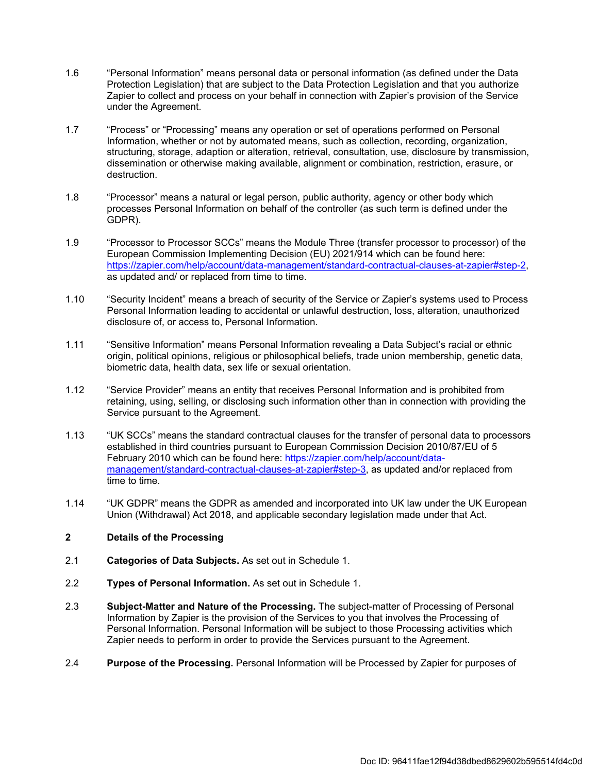- 1.6 "Personal Information" means personal data or personal information (as defined under the Data Protection Legislation) that are subject to the Data Protection Legislation and that you authorize Zapier to collect and process on your behalf in connection with Zapier's provision of the Service under the Agreement.
- 1.7 "Process" or "Processing" means any operation or set of operations performed on Personal Information, whether or not by automated means, such as collection, recording, organization, structuring, storage, adaption or alteration, retrieval, consultation, use, disclosure by transmission, dissemination or otherwise making available, alignment or combination, restriction, erasure, or destruction.
- 1.8 "Processor" means a natural or legal person, public authority, agency or other body which processes Personal Information on behalf of the controller (as such term is defined under the GDPR).
- 1.9 "Processor to Processor SCCs" means the Module Three (transfer processor to processor) of the European Commission Implementing Decision (EU) 2021/914 which can be found here: [https://zapier.com/help/account/data-management/standard-contractual-clauses-at-zapier#step-2,](https://zapier.com/help/account/data-management/standard-contractual-clauses-at-zapier#step-2) as updated and/ or replaced from time to time.
- 1.10 "Security Incident" means a breach of security of the Service or Zapier's systems used to Process Personal Information leading to accidental or unlawful destruction, loss, alteration, unauthorized disclosure of, or access to, Personal Information.
- 1.11 "Sensitive Information" means Personal Information revealing a Data Subject's racial or ethnic origin, political opinions, religious or philosophical beliefs, trade union membership, genetic data, biometric data, health data, sex life or sexual orientation.
- 1.12 "Service Provider" means an entity that receives Personal Information and is prohibited from retaining, using, selling, or disclosing such information other than in connection with providing the Service pursuant to the Agreement.
- 1.13 "UK SCCs" means the standard contractual clauses for the transfer of personal data to processors established in third countries pursuant to European Commission Decision 2010/87/EU of 5 February 2010 which can be found here: [https://zapier.com/help/account/data](https://zapier.com/help/account/data-management/standard-contractual-clauses-at-zapier#step-3)[management/standard-contractual-clauses-at-zapier#step-3,](https://zapier.com/help/account/data-management/standard-contractual-clauses-at-zapier#step-3) as updated and/or replaced from time to time.
- 1.14 "UK GDPR" means the GDPR as amended and incorporated into UK law under the UK European Union (Withdrawal) Act 2018, and applicable secondary legislation made under that Act.

## **2 Details of the Processing**

- 2.1 **Categories of Data Subjects.** As set out in Schedule 1.
- 2.2 **Types of Personal Information.** As set out in Schedule 1.
- 2.3 **Subject-Matter and Nature of the Processing.** The subject-matter of Processing of Personal Information by Zapier is the provision of the Services to you that involves the Processing of Personal Information. Personal Information will be subject to those Processing activities which Zapier needs to perform in order to provide the Services pursuant to the Agreement.
- 2.4 **Purpose of the Processing.** Personal Information will be Processed by Zapier for purposes of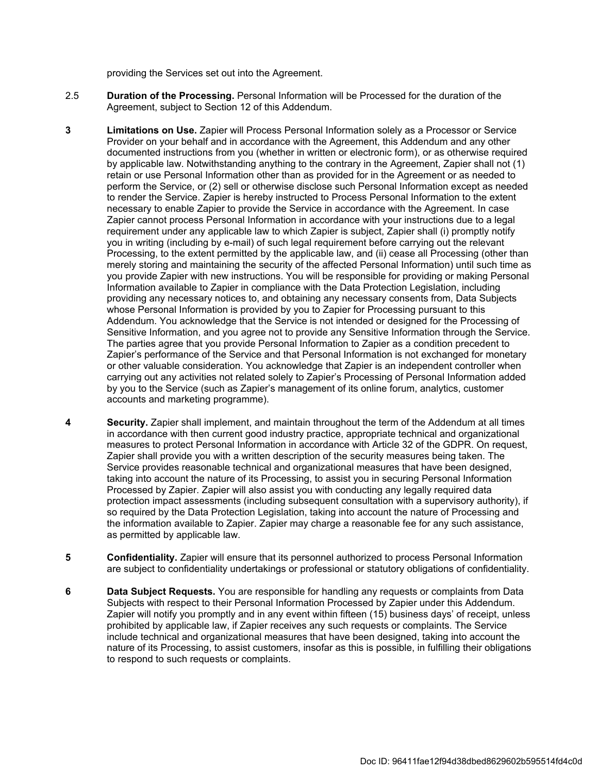providing the Services set out into the Agreement.

- 2.5 **Duration of the Processing.** Personal Information will be Processed for the duration of the Agreement, subject to Section 12 of this Addendum.
- **3 Limitations on Use.** Zapier will Process Personal Information solely as a Processor or Service Provider on your behalf and in accordance with the Agreement, this Addendum and any other documented instructions from you (whether in written or electronic form), or as otherwise required by applicable law. Notwithstanding anything to the contrary in the Agreement, Zapier shall not (1) retain or use Personal Information other than as provided for in the Agreement or as needed to perform the Service, or (2) sell or otherwise disclose such Personal Information except as needed to render the Service. Zapier is hereby instructed to Process Personal Information to the extent necessary to enable Zapier to provide the Service in accordance with the Agreement. In case Zapier cannot process Personal Information in accordance with your instructions due to a legal requirement under any applicable law to which Zapier is subject, Zapier shall (i) promptly notify you in writing (including by e-mail) of such legal requirement before carrying out the relevant Processing, to the extent permitted by the applicable law, and (ii) cease all Processing (other than merely storing and maintaining the security of the affected Personal Information) until such time as you provide Zapier with new instructions. You will be responsible for providing or making Personal Information available to Zapier in compliance with the Data Protection Legislation, including providing any necessary notices to, and obtaining any necessary consents from, Data Subjects whose Personal Information is provided by you to Zapier for Processing pursuant to this Addendum. You acknowledge that the Service is not intended or designed for the Processing of Sensitive Information, and you agree not to provide any Sensitive Information through the Service. The parties agree that you provide Personal Information to Zapier as a condition precedent to Zapier's performance of the Service and that Personal Information is not exchanged for monetary or other valuable consideration. You acknowledge that Zapier is an independent controller when carrying out any activities not related solely to Zapier's Processing of Personal Information added by you to the Service (such as Zapier's management of its online forum, analytics, customer accounts and marketing programme).
- **4 Security.** Zapier shall implement, and maintain throughout the term of the Addendum at all times in accordance with then current good industry practice, appropriate technical and organizational measures to protect Personal Information in accordance with Article 32 of the GDPR. On request, Zapier shall provide you with a written description of the security measures being taken. The Service provides reasonable technical and organizational measures that have been designed, taking into account the nature of its Processing, to assist you in securing Personal Information Processed by Zapier. Zapier will also assist you with conducting any legally required data protection impact assessments (including subsequent consultation with a supervisory authority), if so required by the Data Protection Legislation, taking into account the nature of Processing and the information available to Zapier. Zapier may charge a reasonable fee for any such assistance, as permitted by applicable law.
- **5 Confidentiality.** Zapier will ensure that its personnel authorized to process Personal Information are subject to confidentiality undertakings or professional or statutory obligations of confidentiality.
- **6 Data Subject Requests.** You are responsible for handling any requests or complaints from Data Subjects with respect to their Personal Information Processed by Zapier under this Addendum. Zapier will notify you promptly and in any event within fifteen (15) business days' of receipt, unless prohibited by applicable law, if Zapier receives any such requests or complaints. The Service include technical and organizational measures that have been designed, taking into account the nature of its Processing, to assist customers, insofar as this is possible, in fulfilling their obligations to respond to such requests or complaints.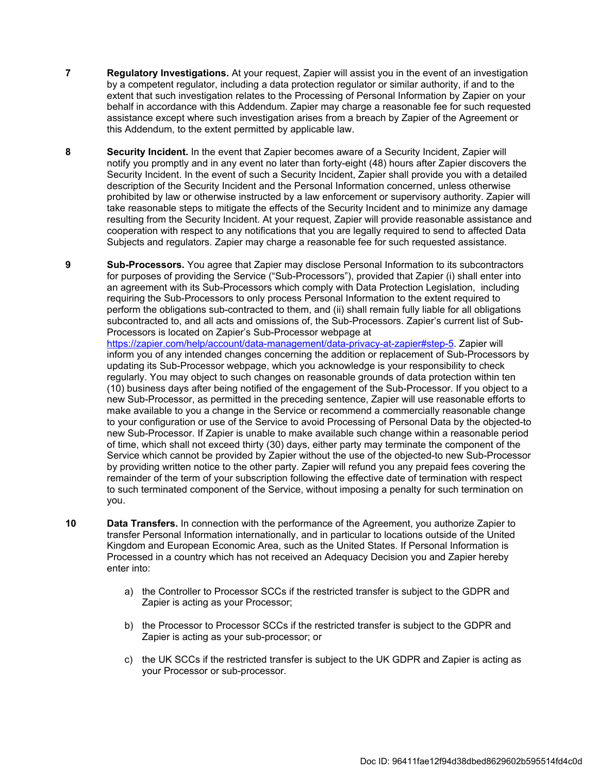- **7 Regulatory Investigations.** At your request, Zapier will assist you in the event of an investigation by a competent regulator, including a data protection regulator or similar authority, if and to the extent that such investigation relates to the Processing of Personal Information by Zapier on your behalf in accordance with this Addendum. Zapier may charge a reasonable fee for such requested assistance except where such investigation arises from a breach by Zapier of the Agreement or this Addendum, to the extent permitted by applicable law.
- **8 Security Incident.** In the event that Zapier becomes aware of a Security Incident, Zapier will notify you promptly and in any event no later than forty-eight (48) hours after Zapier discovers the Security Incident. In the event of such a Security Incident, Zapier shall provide you with a detailed description of the Security Incident and the Personal Information concerned, unless otherwise prohibited by law or otherwise instructed by a law enforcement or supervisory authority. Zapier will take reasonable steps to mitigate the effects of the Security Incident and to minimize any damage resulting from the Security Incident. At your request, Zapier will provide reasonable assistance and cooperation with respect to any notifications that you are legally required to send to affected Data Subjects and regulators. Zapier may charge a reasonable fee for such requested assistance.

**9 Sub-Processors.** You agree that Zapier may disclose Personal Information to its subcontractors for purposes of providing the Service ("Sub-Processors"), provided that Zapier (i) shall enter into an agreement with its Sub-Processors which comply with Data Protection Legislation, including requiring the Sub-Processors to only process Personal Information to the extent required to perform the obligations sub-contracted to them, and (ii) shall remain fully liable for all obligations subcontracted to, and all acts and omissions of, the Sub-Processors. Zapier's current list of Sub-Processors is located on Zapier's Sub-Processor webpage at

[https://zapier.com/help/account/data-management/data-privacy-at-zapier#step-5.](https://zapier.com/help/account/data-management/data-privacy-at-zapier#step-5) Zapier will inform you of any intended changes concerning the addition or replacement of Sub-Processors by updating its Sub-Processor webpage, which you acknowledge is your responsibility to check regularly. You may object to such changes on reasonable grounds of data protection within ten (10) business days after being notified of the engagement of the Sub-Processor. If you object to a new Sub-Processor, as permitted in the preceding sentence, Zapier will use reasonable efforts to make available to you a change in the Service or recommend a commercially reasonable change to your configuration or use of the Service to avoid Processing of Personal Data by the objected-to new Sub-Processor. If Zapier is unable to make available such change within a reasonable period of time, which shall not exceed thirty (30) days, either party may terminate the component of the Service which cannot be provided by Zapier without the use of the objected-to new Sub-Processor by providing written notice to the other party. Zapier will refund you any prepaid fees covering the remainder of the term of your subscription following the effective date of termination with respect to such terminated component of the Service, without imposing a penalty for such termination on you.

- **10 Data Transfers.** In connection with the performance of the Agreement, you authorize Zapier to transfer Personal Information internationally, and in particular to locations outside of the United Kingdom and European Economic Area, such as the United States. If Personal Information is Processed in a country which has not received an Adequacy Decision you and Zapier hereby enter into:
	- a) the Controller to Processor SCCs if the restricted transfer is subject to the GDPR and Zapier is acting as your Processor;
	- b) the Processor to Processor SCCs if the restricted transfer is subject to the GDPR and Zapier is acting as your sub-processor; or
	- c) the UK SCCs if the restricted transfer is subject to the UK GDPR and Zapier is acting as your Processor or sub-processor.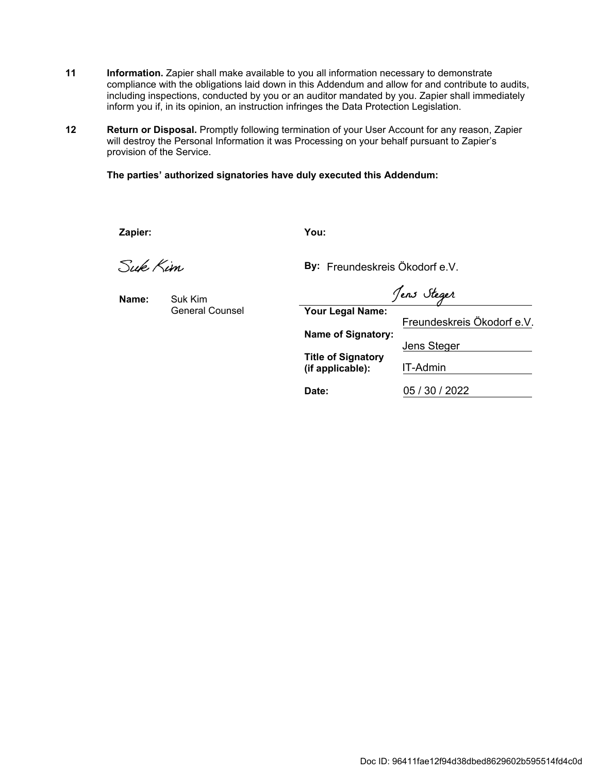- **11** Information. Zapier shall make available to you all information necessary to demonstrate compliance with the obligations laid down in this Addendum and allow for and contribute to audits, including inspections, conducted by you or an auditor mandated by you. Zapier shall immediately inform you if, in its opinion, an instruction infringes the Data Protection Legislation.
- 12 Return or Disposal. Promptly following termination of your User Account for any reason, Zapier will destroy the Personal Information it was Processing on your behalf pursuant to Zapier's provision of the Service.

**The parties' authorized signatories have duly executed this Addendum:**

**Zapier: You:**

Suk Kim

**Name:**

Suk Kim General Counsel

**By:** Freundeskreis Ökodorf e.V.

Jens Steger

**Your Legal Name:**

**Name of Signatory:**

**Title of Signatory (if applicable):**

**Date:**

Freundeskreis Ökodorf e.V. Jens Steger IT-Admin 05 / 30 / 2022

Doc ID: 96411fae12f94d38dbed8629602b595514fd4c0d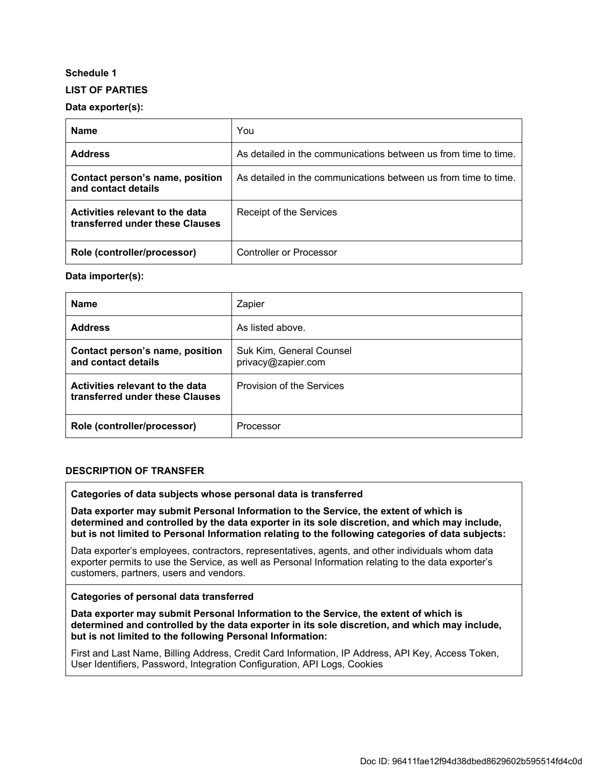## **Schedule 1**

## **LIST OF PARTIES**

## **Data exporter(s):**

| <b>Name</b>                                                        | You                                                             |
|--------------------------------------------------------------------|-----------------------------------------------------------------|
| <b>Address</b>                                                     | As detailed in the communications between us from time to time. |
| Contact person's name, position<br>and contact details             | As detailed in the communications between us from time to time. |
| Activities relevant to the data<br>transferred under these Clauses | Receipt of the Services                                         |
| Role (controller/processor)                                        | <b>Controller or Processor</b>                                  |

## **Data importer(s):**

| <b>Name</b>                                                        | Zapier                                         |
|--------------------------------------------------------------------|------------------------------------------------|
| <b>Address</b>                                                     | As listed above.                               |
| Contact person's name, position<br>and contact details             | Suk Kim, General Counsel<br>privacy@zapier.com |
| Activities relevant to the data<br>transferred under these Clauses | Provision of the Services                      |
| Role (controller/processor)                                        | Processor                                      |

#### **DESCRIPTION OF TRANSFER**

#### **Categories of data subjects whose personal data is transferred**

**Data exporter may submit Personal Information to the Service, the extent of which is determined and controlled by the data exporter in its sole discretion, and which may include, but is not limited to Personal Information relating to the following categories of data subjects:** 

Data exporter's employees, contractors, representatives, agents, and other individuals whom data exporter permits to use the Service, as well as Personal Information relating to the data exporter's customers, partners, users and vendors.

#### **Categories of personal data transferred**

**Data exporter may submit Personal Information to the Service, the extent of which is determined and controlled by the data exporter in its sole discretion, and which may include, but is not limited to the following Personal Information:**

First and Last Name, Billing Address, Credit Card Information, IP Address, API Key, Access Token, User Identifiers, Password, Integration Configuration, API Logs, Cookies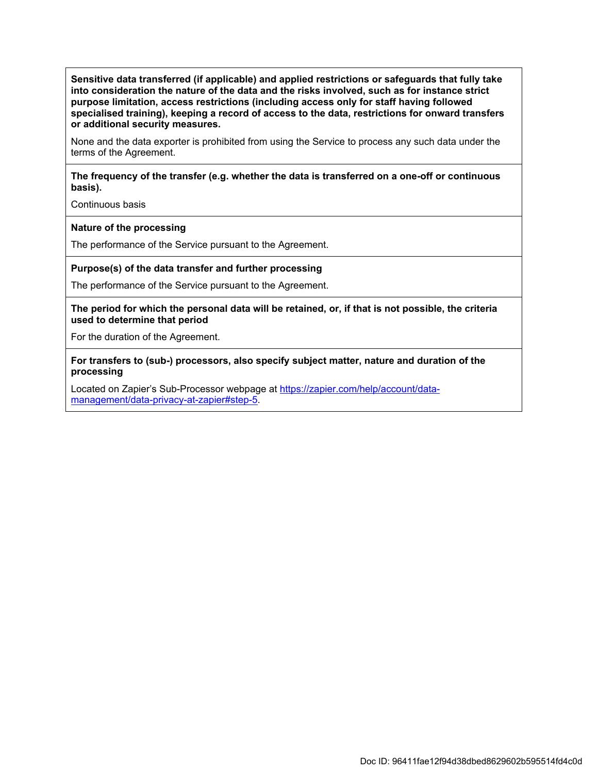**Sensitive data transferred (if applicable) and applied restrictions or safeguards that fully take into consideration the nature of the data and the risks involved, such as for instance strict purpose limitation, access restrictions (including access only for staff having followed specialised training), keeping a record of access to the data, restrictions for onward transfers or additional security measures.**

None and the data exporter is prohibited from using the Service to process any such data under the terms of the Agreement.

#### **The frequency of the transfer (e.g. whether the data is transferred on a one-off or continuous basis).**

Continuous basis

#### **Nature of the processing**

The performance of the Service pursuant to the Agreement.

#### **Purpose(s) of the data transfer and further processing**

The performance of the Service pursuant to the Agreement.

**The period for which the personal data will be retained, or, if that is not possible, the criteria used to determine that period**

For the duration of the Agreement.

**For transfers to (sub-) processors, also specify subject matter, nature and duration of the processing**

Located on Zapier's Sub-Processor webpage at [https://zapier.com/help/account/data](https://zapier.com/help/account/data-management/data-privacy-at-zapier#step-5)[management/data-privacy-at-zapier#step-5.](https://zapier.com/help/account/data-management/data-privacy-at-zapier#step-5)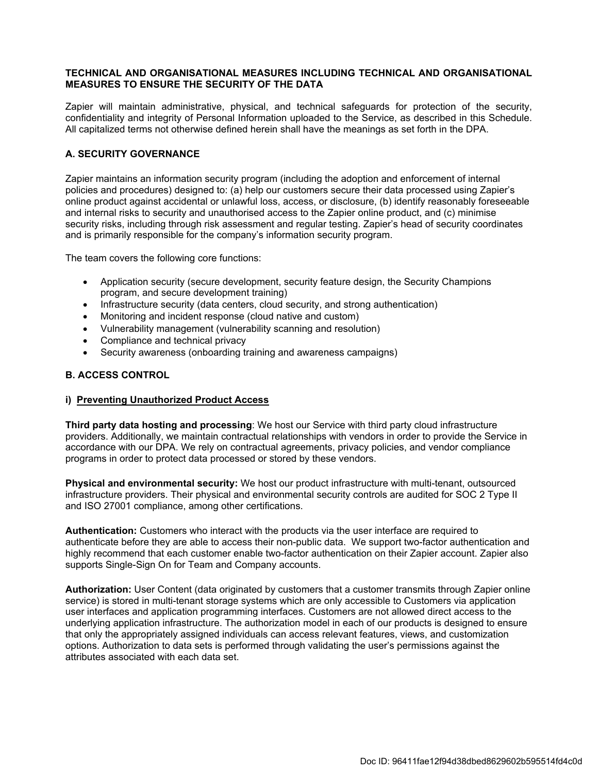#### **TECHNICAL AND ORGANISATIONAL MEASURES INCLUDING TECHNICAL AND ORGANISATIONAL MEASURES TO ENSURE THE SECURITY OF THE DATA**

Zapier will maintain administrative, physical, and technical safeguards for protection of the security, confidentiality and integrity of Personal Information uploaded to the Service, as described in this Schedule. All capitalized terms not otherwise defined herein shall have the meanings as set forth in the DPA.

## **A. SECURITY GOVERNANCE**

Zapier maintains an information security program (including the adoption and enforcement of internal policies and procedures) designed to: (a) help our customers secure their data processed using Zapier's online product against accidental or unlawful loss, access, or disclosure, (b) identify reasonably foreseeable and internal risks to security and unauthorised access to the Zapier online product, and (c) minimise security risks, including through risk assessment and regular testing. Zapier's head of security coordinates and is primarily responsible for the company's information security program.

The team covers the following core functions:

- Application security (secure development, security feature design, the Security Champions program, and secure development training)
- Infrastructure security (data centers, cloud security, and strong authentication)
- Monitoring and incident response (cloud native and custom)
- Vulnerability management (vulnerability scanning and resolution)
- Compliance and technical privacy
- Security awareness (onboarding training and awareness campaigns)

#### **B. ACCESS CONTROL**

#### **i) Preventing Unauthorized Product Access**

**Third party data hosting and processing**: We host our Service with third party cloud infrastructure providers. Additionally, we maintain contractual relationships with vendors in order to provide the Service in accordance with our DPA. We rely on contractual agreements, privacy policies, and vendor compliance programs in order to protect data processed or stored by these vendors.

**Physical and environmental security:** We host our product infrastructure with multi-tenant, outsourced infrastructure providers. Their physical and environmental security controls are audited for SOC 2 Type II and ISO 27001 compliance, among other certifications.

**Authentication:** Customers who interact with the products via the user interface are required to authenticate before they are able to access their non-public data. We support two-factor authentication and highly recommend that each customer enable two-factor authentication on their Zapier account. Zapier also supports Single-Sign On for Team and Company accounts.

**Authorization:** User Content (data originated by customers that a customer transmits through Zapier online service) is stored in multi-tenant storage systems which are only accessible to Customers via application user interfaces and application programming interfaces. Customers are not allowed direct access to the underlying application infrastructure. The authorization model in each of our products is designed to ensure that only the appropriately assigned individuals can access relevant features, views, and customization options. Authorization to data sets is performed through validating the user's permissions against the attributes associated with each data set.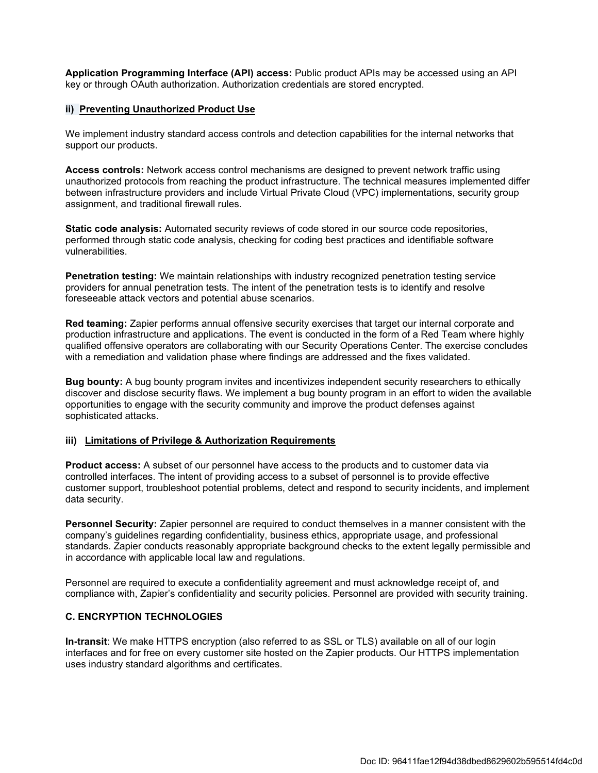**Application Programming Interface (API) access:** Public product APIs may be accessed using an API key or through OAuth authorization. Authorization credentials are stored encrypted.

#### **ii) Preventing Unauthorized Product Use**

We implement industry standard access controls and detection capabilities for the internal networks that support our products.

**Access controls:** Network access control mechanisms are designed to prevent network traffic using unauthorized protocols from reaching the product infrastructure. The technical measures implemented differ between infrastructure providers and include Virtual Private Cloud (VPC) implementations, security group assignment, and traditional firewall rules.

**Static code analysis:** Automated security reviews of code stored in our source code repositories, performed through static code analysis, checking for coding best practices and identifiable software vulnerabilities.

**Penetration testing:** We maintain relationships with industry recognized penetration testing service providers for annual penetration tests. The intent of the penetration tests is to identify and resolve foreseeable attack vectors and potential abuse scenarios.

**Red teaming:** Zapier performs annual offensive security exercises that target our internal corporate and production infrastructure and applications. The event is conducted in the form of a Red Team where highly qualified offensive operators are collaborating with our Security Operations Center. The exercise concludes with a remediation and validation phase where findings are addressed and the fixes validated.

**Bug bounty:** A bug bounty program invites and incentivizes independent security researchers to ethically discover and disclose security flaws. We implement a bug bounty program in an effort to widen the available opportunities to engage with the security community and improve the product defenses against sophisticated attacks.

#### **iii) Limitations of Privilege & Authorization Requirements**

**Product access:** A subset of our personnel have access to the products and to customer data via controlled interfaces. The intent of providing access to a subset of personnel is to provide effective customer support, troubleshoot potential problems, detect and respond to security incidents, and implement data security.

**Personnel Security:** Zapier personnel are required to conduct themselves in a manner consistent with the company's guidelines regarding confidentiality, business ethics, appropriate usage, and professional standards. Zapier conducts reasonably appropriate background checks to the extent legally permissible and in accordance with applicable local law and regulations.

Personnel are required to execute a confidentiality agreement and must acknowledge receipt of, and compliance with, Zapier's confidentiality and security policies. Personnel are provided with security training.

#### **C. ENCRYPTION TECHNOLOGIES**

**In-transit**: We make HTTPS encryption (also referred to as SSL or TLS) available on all of our login interfaces and for free on every customer site hosted on the Zapier products. Our HTTPS implementation uses industry standard algorithms and certificates.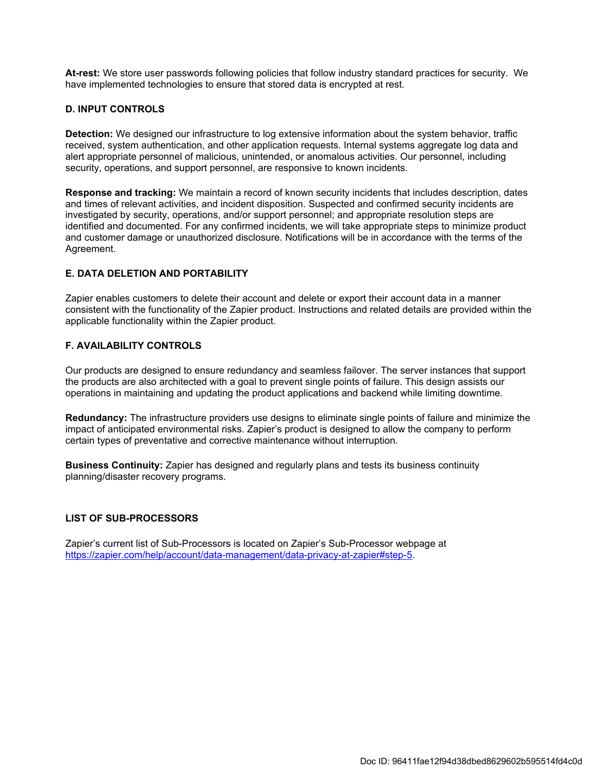**At-rest:** We store user passwords following policies that follow industry standard practices for security. We have implemented technologies to ensure that stored data is encrypted at rest.

## **D. INPUT CONTROLS**

**Detection:** We designed our infrastructure to log extensive information about the system behavior, traffic received, system authentication, and other application requests. Internal systems aggregate log data and alert appropriate personnel of malicious, unintended, or anomalous activities. Our personnel, including security, operations, and support personnel, are responsive to known incidents.

**Response and tracking:** We maintain a record of known security incidents that includes description, dates and times of relevant activities, and incident disposition. Suspected and confirmed security incidents are investigated by security, operations, and/or support personnel; and appropriate resolution steps are identified and documented. For any confirmed incidents, we will take appropriate steps to minimize product and customer damage or unauthorized disclosure. Notifications will be in accordance with the terms of the Agreement.

## **E. DATA DELETION AND PORTABILITY**

Zapier enables customers to delete their account and delete or export their account data in a manner consistent with the functionality of the Zapier product. Instructions and related details are provided within the applicable functionality within the Zapier product.

## **F. AVAILABILITY CONTROLS**

Our products are designed to ensure redundancy and seamless failover. The server instances that support the products are also architected with a goal to prevent single points of failure. This design assists our operations in maintaining and updating the product applications and backend while limiting downtime.

**Redundancy:** The infrastructure providers use designs to eliminate single points of failure and minimize the impact of anticipated environmental risks. Zapier's product is designed to allow the company to perform certain types of preventative and corrective maintenance without interruption.

**Business Continuity:** Zapier has designed and regularly plans and tests its business continuity planning/disaster recovery programs.

#### **LIST OF SUB-PROCESSORS**

Zapier's current list of Sub-Processors is located on Zapier's Sub-Processor webpage at <https://zapier.com/help/account/data-management/data-privacy-at-zapier#step-5>.